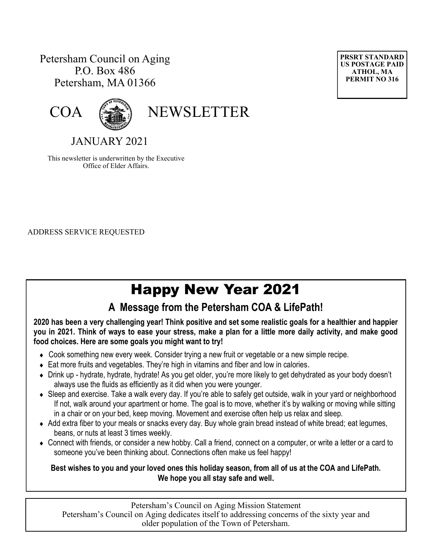### Petersham Council on Aging P.O. Box 486 Petersham, MA 01366





COA (

JANUARY 2021

This newsletter is underwritten by the Executive Office of Elder Affairs.

ADDRESS SERVICE REQUESTED

# Happy New Year 2021

### **A Message from the Petersham COA & LifePath!**

**2020 has been a very challenging year! Think positive and set some realistic goals for a healthier and happier you in 2021. Think of ways to ease your stress, make a plan for a little more daily activity, and make good food choices. Here are some goals you might want to try!**

- Cook something new every week. Consider trying a new fruit or vegetable or a new simple recipe.
- Eat more fruits and vegetables. They're high in vitamins and fiber and low in calories.
- Drink up hydrate, hydrate, hydrate! As you get older, you're more likely to get dehydrated as your body doesn't always use the fluids as efficiently as it did when you were younger.
- Sleep and exercise. Take a walk every day. If you're able to safely get outside, walk in your yard or neighborhood If not, walk around your apartment or home. The goal is to move, whether it's by walking or moving while sitting in a chair or on your bed, keep moving. Movement and exercise often help us relax and sleep.
- Add extra fiber to your meals or snacks every day. Buy whole grain bread instead of white bread; eat legumes, beans, or nuts at least 3 times weekly.
- Connect with friends, or consider a new hobby. Call a friend, connect on a computer, or write a letter or a card to someone you've been thinking about. Connections often make us feel happy!

**Best wishes to you and your loved ones this holiday season, from all of us at the COA and LifePath. We hope you all stay safe and well.**

Petersham's Council on Aging Mission Statement Petersham's Council on Aging dedicates itself to addressing concerns of the sixty year and older population of the Town of Petersham.

**PRSRT STANDARD US POSTAGE PAID ATHOL, MA PERMIT NO 316**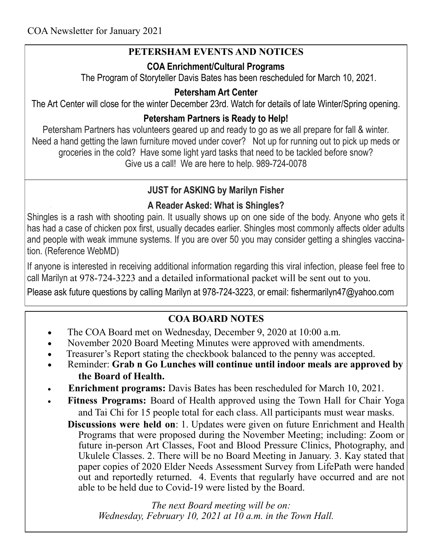### **PETERSHAM EVENTS AND NOTICES**

### **COA Enrichment/Cultural Programs**

The Program of Storyteller Davis Bates has been rescheduled for March 10, 2021.

### **Petersham Art Center**

The Art Center will close for the winter December 23rd. Watch for details of late Winter/Spring opening.

### **Petersham Partners is Ready to Help!**

Petersham Partners has volunteers geared up and ready to go as we all prepare for fall & winter. Need a hand getting the lawn furniture moved under cover? Not up for running out to pick up meds or groceries in the cold? Have some light yard tasks that need to be tackled before snow? Give us a call! We are here to help. 989-724-0078

### **JUST for ASKING by Marilyn Fisher**

### **A Reader Asked: What is Shingles?**

Shingles is a rash with shooting pain. It usually shows up on one side of the body. Anyone who gets it has had a case of chicken pox first, usually decades earlier. Shingles most commonly affects older adults and people with weak immune systems. If you are over 50 you may consider getting a shingles vaccination. (Reference WebMD)

If anyone is interested in receiving additional information regarding this viral infection, please feel free to call Marilyn at 978-724-3223 and a detailed informational packet will be sent out to you.

Please ask future questions by calling Marilyn at 978-724-3223, or email: fishermarilyn47@yahoo.com

### **COA BOARD NOTES**

- The COA Board met on Wednesday, December 9, 2020 at 10:00 a.m.
- November 2020 Board Meeting Minutes were approved with amendments.
- Treasurer's Report stating the checkbook balanced to the penny was accepted.
- Reminder: **Grab n Go Lunches will continue until indoor meals are approved by the Board of Health.**
- **Enrichment programs:** Davis Bates has been rescheduled for March 10, 2021.
- **Fitness Programs:** Board of Health approved using the Town Hall for Chair Yoga and Tai Chi for 15 people total for each class. All participants must wear masks.

 **Discussions were held on**: 1. Updates were given on future Enrichment and Health Programs that were proposed during the November Meeting; including: Zoom or future in-person Art Classes, Foot and Blood Pressure Clinics, Photography, and Ukulele Classes. 2. There will be no Board Meeting in January. 3. Kay stated that paper copies of 2020 Elder Needs Assessment Survey from LifePath were handed out and reportedly returned. 4. Events that regularly have occurred and are not able to be held due to Covid-19 were listed by the Board.

 *The next Board meeting will be on: Wednesday, February 10, 2021 at 10 a.m. in the Town Hall.*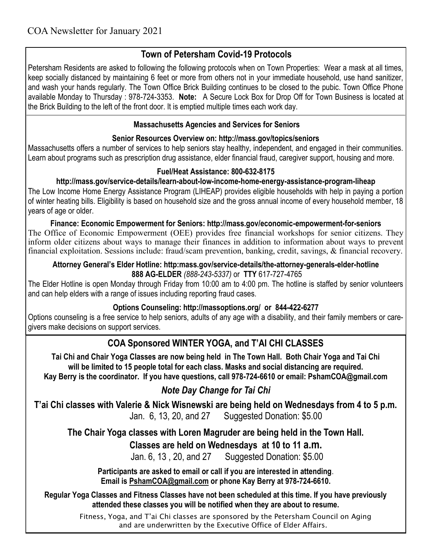### **Town of Petersham Covid-19 Protocols**

Petersham Residents are asked to following the following protocols when on Town Properties: Wear a mask at all times, keep socially distanced by maintaining 6 feet or more from others not in your immediate household, use hand sanitizer, and wash your hands regularly. The Town Office Brick Building continues to be closed to the pubic. Town Office Phone available Monday to Thursday : 978-724-3353. **Note:** A Secure Lock Box for Drop Off for Town Business is located at the Brick Building to the left of the front door. It is emptied multiple times each work day.

#### **Massachusetts Agencies and Services for Seniors**

#### **[Senior Resources Overview on: http://mass.gov/](http://mass.gov/topics/seniors)topics/seniors**

Massachusetts offers a number of services to help seniors stay healthy, independent, and engaged in their communities. Learn about programs such as prescription drug assistance, elder financial fraud, caregiver support, housing and more.

#### **[Fuel/Heat Assistance:](http://mass.gov/service-details/learn-about-low-income-home-energy-assistance-program-liheap) 800-632-8175**

#### **http://mass.gov/service-details/learn-about-low-income-home-energy-assistance-program-liheap**

The Low Income Home Energy Assistance Program (LIHEAP) provides eligible households with help in paying a portion of winter heating bills. Eligibility is based on household size and the gross annual income of every household member, 18 years of age or older.

**Finance: [Economic Empowerment for Seniors:](http://mass.gov/economic-empowerment-for-seniors) http://mass.gov/economic-empowerment-for-seniors** The Office of Economic Empowerment (OEE) provides free financial workshops for senior citizens. They inform older citizens about ways to manage their finances in addition to information about ways to prevent financial exploitation. Sessions include: fraud/scam prevention, banking, credit, savings, & financial recovery.

#### **[Attorney General's Elder Hotline:](http://mass.gov/service-details/the-attorney-generals-elder-hotline) http:mass.gov/service-details/the-attorney-generals-elder-hotline 888 AG-ELDER** *(888-243-5337)* or **TTY** 617-727-4765

The Elder Hotline is open Monday through Friday from 10:00 am to 4:00 pm. The hotline is staffed by senior volunteers and can help elders with a range of issues including reporting fraud cases.

#### **[Options Counseling: http://massoptions.o](http://massoptions.org/)rg/ or 844-422-6277**

Options counseling is a free service to help seniors, adults of any age with a disability, and their family members or caregivers make decisions on support services.

### **COA Sponsored WINTER YOGA, and T'AI CHI CLASSES**

**Tai Chi and Chair Yoga Classes are now being held in The Town Hall. Both Chair Yoga and Tai Chi will be limited to 15 people total for each class. Masks and social distancing are required. Kay Berry is the coordinator. If you have questions, call 978-724-6610 or email: PshamCOA@gmail.com**

### *Note Day Change for Tai Chi*

**T'ai Chi classes with Valerie & Nick Wisnewski are being held on Wednesdays from 4 to 5 p.m.**  Jan. 6, 13, 20, and 27 Suggested Donation: \$5.00

**The Chair Yoga classes with Loren Magruder are being held in the Town Hall.**

 **Classes are held on Wednesdays at 10 to 11 a.m.**

Jan. 6, 13 , 20, and 27 Suggested Donation: \$5.00

**Participants are asked to email or call if you are interested in attending**. **Email is [PshamCOA@gmail.com](mailto:PshamCOA@gmail.com) or phone Kay Berry at 978-724-6610.** 

**Regular Yoga Classes and Fitness Classes have not been scheduled at this time. If you have previously attended these classes you will be notified when they are about to resume.**

> Fitness, Yoga, and T'ai Chi classes are sponsored by the Petersham Council on Aging and are underwritten by the Executive Office of Elder Affairs.